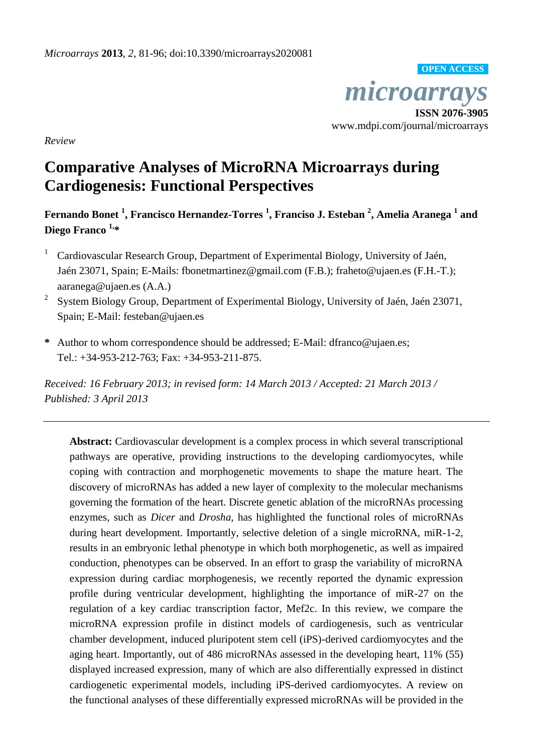*microarrays*

**OPEN ACCESS**

**ISSN 2076-3905** www.mdpi.com/journal/microarrays

*Review*

# **Comparative Analyses of MicroRNA Microarrays during Cardiogenesis: Functional Perspectives**

**Fernando Bonet <sup>1</sup> , Francisco Hernandez-Torres <sup>1</sup> , Franciso J. Esteban <sup>2</sup> , Amelia Aranega <sup>1</sup> and Diego Franco 1,\***

- <sup>1</sup> Cardiovascular Research Group, Department of Experimental Biology, University of Ja  $\acute{\text{m}}$ , Jaén 23071, Spain; E-Mails: fbonetmartinez@gmail.com (F.B.); fraheto@ujaen.es (F.H.-T.); aaranega@ujaen.es (A.A.)
- 2 System Biology Group, Department of Experimental Biology, University of Jaén, Jaén 23071, Spain; E-Mail: festeban@ujaen.es
- **\*** Author to whom correspondence should be addressed; E-Mail: dfranco@ujaen.es; Tel.: +34-953-212-763; Fax: +34-953-211-875.

*Received: 16 February 2013; in revised form: 14 March 2013 / Accepted: 21 March 2013 / Published: 3 April 2013*

**Abstract:** Cardiovascular development is a complex process in which several transcriptional pathways are operative, providing instructions to the developing cardiomyocytes, while coping with contraction and morphogenetic movements to shape the mature heart. The discovery of microRNAs has added a new layer of complexity to the molecular mechanisms governing the formation of the heart. Discrete genetic ablation of the microRNAs processing enzymes, such as *Dicer* and *Drosha*, has highlighted the functional roles of microRNAs during heart development. Importantly, selective deletion of a single microRNA, miR-1-2, results in an embryonic lethal phenotype in which both morphogenetic, as well as impaired conduction, phenotypes can be observed. In an effort to grasp the variability of microRNA expression during cardiac morphogenesis, we recently reported the dynamic expression profile during ventricular development, highlighting the importance of miR-27 on the regulation of a key cardiac transcription factor, Mef2c. In this review, we compare the microRNA expression profile in distinct models of cardiogenesis, such as ventricular chamber development, induced pluripotent stem cell (iPS)-derived cardiomyocytes and the aging heart. Importantly, out of 486 microRNAs assessed in the developing heart, 11% (55) displayed increased expression, many of which are also differentially expressed in distinct cardiogenetic experimental models, including iPS-derived cardiomyocytes. A review on the functional analyses of these differentially expressed microRNAs will be provided in the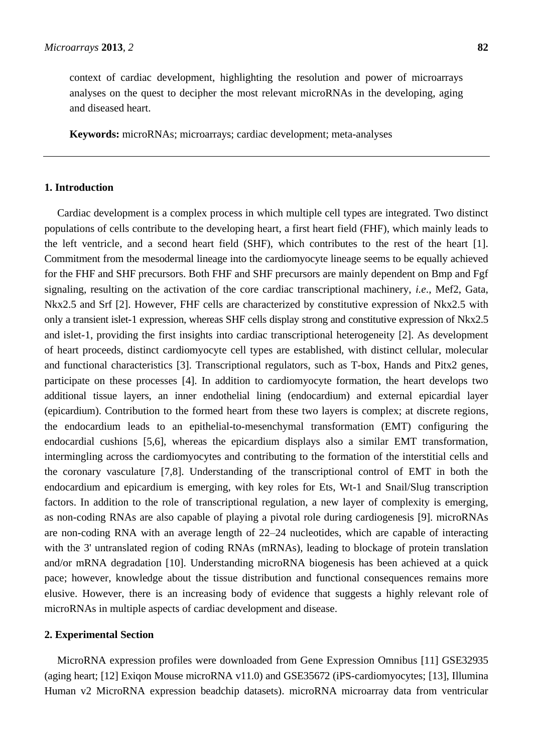context of cardiac development, highlighting the resolution and power of microarrays analyses on the quest to decipher the most relevant microRNAs in the developing, aging and diseased heart.

**Keywords:** microRNAs; microarrays; cardiac development; meta-analyses

### **1. Introduction**

Cardiac development is a complex process in which multiple cell types are integrated. Two distinct populations of cells contribute to the developing heart, a first heart field (FHF), which mainly leads to the left ventricle, and a second heart field (SHF), which contributes to the rest of the heart [1]. Commitment from the mesodermal lineage into the cardiomyocyte lineage seems to be equally achieved for the FHF and SHF precursors. Both FHF and SHF precursors are mainly dependent on Bmp and Fgf signaling, resulting on the activation of the core cardiac transcriptional machinery, *i.e*., Mef2, Gata, Nkx2.5 and Srf [2]. However, FHF cells are characterized by constitutive expression of Nkx2.5 with only a transient islet-1 expression, whereas SHF cells display strong and constitutive expression of Nkx2.5 and islet-1, providing the first insights into cardiac transcriptional heterogeneity [2]. As development of heart proceeds, distinct cardiomyocyte cell types are established, with distinct cellular, molecular and functional characteristics [3]. Transcriptional regulators, such as T-box, Hands and Pitx2 genes, participate on these processes [4]. In addition to cardiomyocyte formation, the heart develops two additional tissue layers, an inner endothelial lining (endocardium) and external epicardial layer (epicardium). Contribution to the formed heart from these two layers is complex; at discrete regions, the endocardium leads to an epithelial-to-mesenchymal transformation (EMT) configuring the endocardial cushions [5,6], whereas the epicardium displays also a similar EMT transformation, intermingling across the cardiomyocytes and contributing to the formation of the interstitial cells and the coronary vasculature [7,8]. Understanding of the transcriptional control of EMT in both the endocardium and epicardium is emerging, with key roles for Ets, Wt-1 and Snail/Slug transcription factors. In addition to the role of transcriptional regulation, a new layer of complexity is emerging, as non-coding RNAs are also capable of playing a pivotal role during cardiogenesis [9]. microRNAs are non-coding RNA with an average length of 22–24 nucleotides, which are capable of interacting with the 3' untranslated region of coding RNAs (mRNAs), leading to blockage of protein translation and/or mRNA degradation [10]. Understanding microRNA biogenesis has been achieved at a quick pace; however, knowledge about the tissue distribution and functional consequences remains more elusive. However, there is an increasing body of evidence that suggests a highly relevant role of microRNAs in multiple aspects of cardiac development and disease.

### **2. Experimental Section**

MicroRNA expression profiles were downloaded from Gene Expression Omnibus [11] GSE32935 (aging heart; [12] Exiqon Mouse microRNA v11.0) and GSE35672 (iPS-cardiomyocytes; [13], Illumina Human v2 MicroRNA expression beadchip datasets). microRNA microarray data from ventricular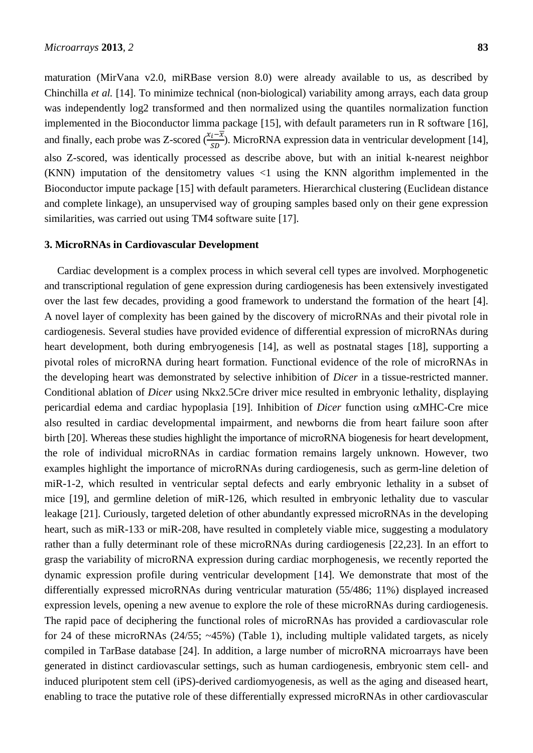maturation (MirVana v2.0, miRBase version 8.0) were already available to us, as described by Chinchilla *et al.* [14]. To minimize technical (non-biological) variability among arrays, each data group was independently log2 transformed and then normalized using the quantiles normalization function implemented in the Bioconductor limma package [15], with default parameters run in R software [16], and finally, each probe was Z-scored  $\left(\frac{x_i - \overline{x}}{SD}\right)$ . MicroRNA expression data in ventricular development [14], also Z-scored, was identically processed as describe above, but with an initial k-nearest neighbor  $(KNN)$  imputation of the densitometry values  $\langle 1 \rangle$  using the KNN algorithm implemented in the Bioconductor impute package [15] with default parameters. Hierarchical clustering (Euclidean distance and complete linkage), an unsupervised way of grouping samples based only on their gene expression similarities, was carried out using TM4 software suite [17].

### **3. MicroRNAs in Cardiovascular Development**

Cardiac development is a complex process in which several cell types are involved. Morphogenetic and transcriptional regulation of gene expression during cardiogenesis has been extensively investigated over the last few decades, providing a good framework to understand the formation of the heart [4]. A novel layer of complexity has been gained by the discovery of microRNAs and their pivotal role in cardiogenesis. Several studies have provided evidence of differential expression of microRNAs during heart development, both during embryogenesis [14], as well as postnatal stages [18], supporting a pivotal roles of microRNA during heart formation. Functional evidence of the role of microRNAs in the developing heart was demonstrated by selective inhibition of *Dicer* in a tissue-restricted manner. Conditional ablation of *Dicer* using Nkx2.5Cre driver mice resulted in embryonic lethality, displaying pericardial edema and cardiac hypoplasia [19]. Inhibition of *Dicer* function using MHC-Cre mice also resulted in cardiac developmental impairment, and newborns die from heart failure soon after birth [20]. Whereas these studies highlight the importance of microRNA biogenesis for heart development, the role of individual microRNAs in cardiac formation remains largely unknown. However, two examples highlight the importance of microRNAs during cardiogenesis, such as germ-line deletion of miR-1-2, which resulted in ventricular septal defects and early embryonic lethality in a subset of mice [19], and germline deletion of miR-126, which resulted in embryonic lethality due to vascular leakage [21]. Curiously, targeted deletion of other abundantly expressed microRNAs in the developing heart, such as miR-133 or miR-208, have resulted in completely viable mice, suggesting a modulatory rather than a fully determinant role of these microRNAs during cardiogenesis [22,23]. In an effort to grasp the variability of microRNA expression during cardiac morphogenesis, we recently reported the dynamic expression profile during ventricular development [14]. We demonstrate that most of the differentially expressed microRNAs during ventricular maturation (55/486; 11%) displayed increased expression levels, opening a new avenue to explore the role of these microRNAs during cardiogenesis. The rapid pace of deciphering the functional roles of microRNAs has provided a cardiovascular role for 24 of these microRNAs (24/55; ~45%) (Table 1), including multiple validated targets, as nicely compiled in TarBase database [24]. In addition, a large number of microRNA microarrays have been generated in distinct cardiovascular settings, such as human cardiogenesis, embryonic stem cell- and induced pluripotent stem cell (iPS)-derived cardiomyogenesis, as well as the aging and diseased heart, enabling to trace the putative role of these differentially expressed microRNAs in other cardiovascular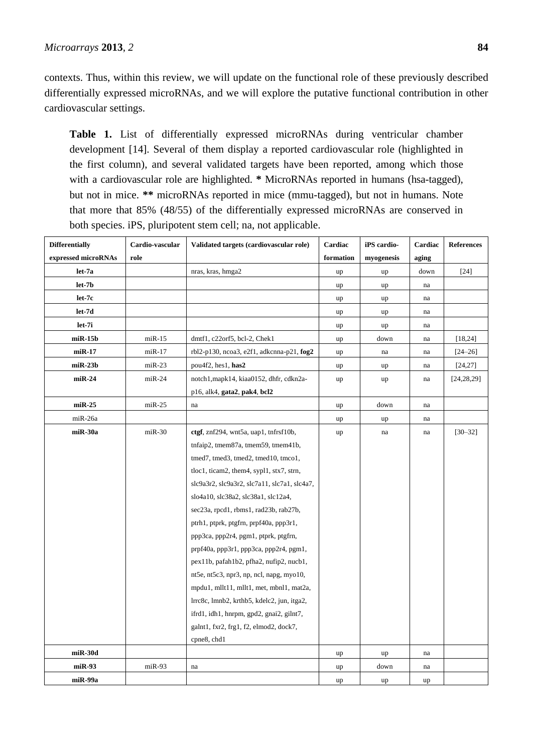contexts. Thus, within this review, we will update on the functional role of these previously described differentially expressed microRNAs, and we will explore the putative functional contribution in other cardiovascular settings.

**Table 1.** List of differentially expressed microRNAs during ventricular chamber development [14]. Several of them display a reported cardiovascular role (highlighted in the first column), and several validated targets have been reported, among which those with a cardiovascular role are highlighted. **\*** MicroRNAs reported in humans (hsa-tagged), but not in mice. **\*\*** microRNAs reported in mice (mmu-tagged), but not in humans. Note that more that 85% (48/55) of the differentially expressed microRNAs are conserved in both species. iPS, pluripotent stem cell; na, not applicable.

| <b>Differentially</b> | Cardio-vascular | Validated targets (cardiovascular role)      | Cardiac   | iPS cardio- | Cardiac | <b>References</b> |
|-----------------------|-----------------|----------------------------------------------|-----------|-------------|---------|-------------------|
| expressed microRNAs   | role            |                                              | formation | myogenesis  | aging   |                   |
| let-7a                |                 | nras, kras, hmga2                            | up        | up          | down    | $[24]$            |
| let-7b                |                 |                                              | up        | up          | na      |                   |
| $let-7c$              |                 |                                              | up        | up          | na      |                   |
| $let-7d$              |                 |                                              | up        | up          | na      |                   |
| let-7i                |                 |                                              | up        | up          | na      |                   |
| $m$ i $R-15b$         | $miR-15$        | dmtf1, c22orf5, bcl-2, Chek1                 | up        | down        | na      | [18, 24]          |
| $miR-17$              | $miR-17$        | rbl2-p130, ncoa3, e2f1, adkcnna-p21, $fog2$  | up        | na          | na      | $[24 - 26]$       |
| $m$ i $R-23b$         | $miR-23$        | pou4f2, hes1, has2                           | up        | up          | na      | [24, 27]          |
| $miR-24$              | $miR-24$        | notch1, mapk14, kiaa0152, dhfr, cdkn2a-      | up        | up          | na      | [24, 28, 29]      |
|                       |                 | p16, alk4, gata2, pak4, bcl2                 |           |             |         |                   |
| $m$ iR-25             | $miR-25$        | na                                           | up        | down        | na      |                   |
| miR-26a               |                 |                                              | up        | up          | na      |                   |
| $m$ i $R-30a$         | $miR-30$        | ctgf, znf294, wnt5a, uap1, tnfrsf10b,        | up        | na          | na      | $[30 - 32]$       |
|                       |                 | tnfaip2, tmem87a, tmem59, tmem41b,           |           |             |         |                   |
|                       |                 | tmed7, tmed3, tmed2, tmed10, tmco1,          |           |             |         |                   |
|                       |                 | tloc1, ticam2, them4, syp11, stx7, strn,     |           |             |         |                   |
|                       |                 | slc9a3r2, slc9a3r2, slc7a11, slc7a1, slc4a7, |           |             |         |                   |
|                       |                 | slo4a10, slc38a2, slc38a1, slc12a4,          |           |             |         |                   |
|                       |                 | sec23a, rpcd1, rbms1, rad23b, rab27b,        |           |             |         |                   |
|                       |                 | ptrh1, ptprk, ptgfrn, prpf40a, ppp3r1,       |           |             |         |                   |
|                       |                 | ppp3ca, ppp2r4, pgm1, ptprk, ptgfrn,         |           |             |         |                   |
|                       |                 | prpf40a, ppp3r1, ppp3ca, ppp2r4, pgm1,       |           |             |         |                   |
|                       |                 | pex11b, pafah1b2, pfha2, nufip2, nucb1,      |           |             |         |                   |
|                       |                 | nt5e, nt5c3, npr3, np, ncl, napg, myo10,     |           |             |         |                   |
|                       |                 | mpdu1, mllt11, mllt1, met, mbnl1, mat2a,     |           |             |         |                   |
|                       |                 | lrrc8c, lmnb2, krthb5, kdelc2, jun, itga2,   |           |             |         |                   |
|                       |                 | ifrd1, idh1, hnrpm, gpd2, gnai2, gilnt7,     |           |             |         |                   |
|                       |                 | galnt1, fxr2, frg1, f2, elmod2, dock7,       |           |             |         |                   |
|                       |                 | cpne8, chd1                                  |           |             |         |                   |
| $miR-30d$             |                 |                                              | up        | up          | na      |                   |
| $miR-93$              | $miR-93$        | na                                           | up        | down        | na      |                   |
| miR-99a               |                 |                                              | up        | up          | up      |                   |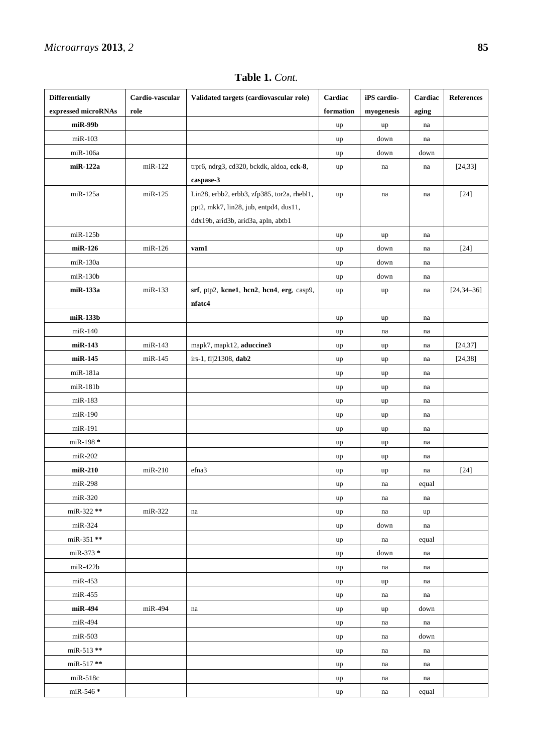| <b>Differentially</b> | Cardio-vascular | Validated targets (cardiovascular role)                                                                                      | Cardiac   | iPS cardio-         | Cardiac | <b>References</b> |
|-----------------------|-----------------|------------------------------------------------------------------------------------------------------------------------------|-----------|---------------------|---------|-------------------|
| expressed microRNAs   | role            |                                                                                                                              | formation | myogenesis          | aging   |                   |
| $m$ i $R-99b$         |                 |                                                                                                                              | up        | up                  | na      |                   |
| miR-103               |                 |                                                                                                                              | up        | down                | na      |                   |
| miR-106a              |                 |                                                                                                                              | up        | down                | down    |                   |
| $m$ i $R-122a$        | $miR-122$       | trpr6, ndrg3, cd320, bckdk, aldoa, cck-8,<br>caspase-3                                                                       | up        | $\operatorname{na}$ | na      | [24, 33]          |
| $miR-125a$            | $miR-125$       | Lin28, erbb2, erbb3, zfp385, tor2a, rhebl1,<br>ppt2, mkk7, lin28, jub, entpd4, dus11,<br>ddx19b, arid3b, arid3a, apln, abtb1 | $\,$ up   | $\operatorname{na}$ | na      | $[24]$            |
| $m$ i $R-125b$        |                 |                                                                                                                              | up        | up                  | na      |                   |
| miR-126               | $miR-126$       | vam1                                                                                                                         | up        | down                | na      | $[24]$            |
| miR-130a              |                 |                                                                                                                              | up        | down                | na      |                   |
| $miR-130b$            |                 |                                                                                                                              | up        | down                | na      |                   |
| miR-133a              | miR-133         | srf, ptp2, kcne1, hcn2, hcn4, erg, casp9,<br>nfatc4                                                                          | up        | up                  | na      | $[24, 34 - 36]$   |
| miR-133b              |                 |                                                                                                                              | up        | up                  | na      |                   |
| $miR-140$             |                 |                                                                                                                              | up        | na                  | na      |                   |
| miR-143               | $miR-143$       | mapk7, mapk12, aduccine3                                                                                                     | up        | up                  | na      | [24, 37]          |
| miR-145               | $miR-145$       | irs-1, flj21308, dab2                                                                                                        | up        | up                  | na      | [24, 38]          |
| $miR-181a$            |                 |                                                                                                                              | up        | up                  | na      |                   |
| miR-181b              |                 |                                                                                                                              | up        | up                  | na      |                   |
| miR-183               |                 |                                                                                                                              | up        | up                  | na      |                   |
| miR-190               |                 |                                                                                                                              | up        | up                  | na      |                   |
| miR-191               |                 |                                                                                                                              | up        | up                  | na      |                   |
| $m$ iR-198 $*$        |                 |                                                                                                                              | up        | up                  | na      |                   |
| $miR-202$             |                 |                                                                                                                              | up        | up                  | na      |                   |
| miR-210               | $miR-210$       | efna3                                                                                                                        | up        | up                  | na      | $[24]$            |
| $miR-298$             |                 |                                                                                                                              | up        | na                  | equal   |                   |
| $miR-320$             |                 |                                                                                                                              | up        | na                  | na      |                   |
| miR-322 **            | $miR-322$       | na                                                                                                                           | up        | na                  | up      |                   |
| $miR-324$             |                 |                                                                                                                              | up        | down                | na      |                   |
| $m$ iR-351 **         |                 |                                                                                                                              | up        | na                  | equal   |                   |
| $m$ iR-373 *          |                 |                                                                                                                              | up        | down                | na      |                   |
| $m$ iR-422 $b$        |                 |                                                                                                                              | up        | na                  | na      |                   |
| $miR-453$             |                 |                                                                                                                              | up        | up                  | na      |                   |
| $m$ i R $-455$        |                 |                                                                                                                              | up        | na                  | na      |                   |
| miR-494               | miR-494         | na                                                                                                                           | up        | up                  | down    |                   |
| miR-494               |                 |                                                                                                                              | up        | na                  | na      |                   |
| $miR-503$             |                 |                                                                                                                              | up        | na                  | down    |                   |
| $miR-513**$           |                 |                                                                                                                              | up        | na                  | na      |                   |
| $m$ iR-517 **         |                 |                                                                                                                              | up        | na                  | na      |                   |
| $miR-518c$            |                 |                                                                                                                              | up        | na                  | na      |                   |
| $m$ iR-546 $*$        |                 |                                                                                                                              | up        | na                  | equal   |                   |

**Table 1.** *Cont.*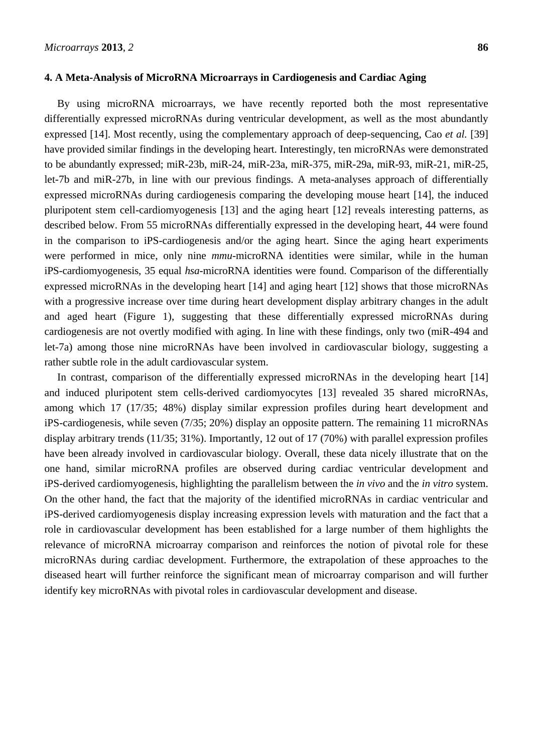### **4. A Meta-Analysis of MicroRNA Microarrays in Cardiogenesis and Cardiac Aging**

By using microRNA microarrays, we have recently reported both the most representative differentially expressed microRNAs during ventricular development, as well as the most abundantly expressed [14]. Most recently, using the complementary approach of deep-sequencing, Cao *et al.* [39] have provided similar findings in the developing heart. Interestingly, ten microRNAs were demonstrated to be abundantly expressed; miR-23b, miR-24, miR-23a, miR-375, miR-29a, miR-93, miR-21, miR-25, let-7b and miR-27b, in line with our previous findings. A meta-analyses approach of differentially expressed microRNAs during cardiogenesis comparing the developing mouse heart [14], the induced pluripotent stem cell-cardiomyogenesis [13] and the aging heart [12] reveals interesting patterns, as described below. From 55 microRNAs differentially expressed in the developing heart, 44 were found in the comparison to iPS-cardiogenesis and/or the aging heart. Since the aging heart experiments were performed in mice, only nine *mmu-*microRNA identities were similar, while in the human iPS-cardiomyogenesis, 35 equal *hsa-*microRNA identities were found. Comparison of the differentially expressed microRNAs in the developing heart [14] and aging heart [12] shows that those microRNAs with a progressive increase over time during heart development display arbitrary changes in the adult and aged heart (Figure 1), suggesting that these differentially expressed microRNAs during cardiogenesis are not overtly modified with aging. In line with these findings, only two (miR-494 and let-7a) among those nine microRNAs have been involved in cardiovascular biology, suggesting a rather subtle role in the adult cardiovascular system.

In contrast, comparison of the differentially expressed microRNAs in the developing heart [14] and induced pluripotent stem cells-derived cardiomyocytes [13] revealed 35 shared microRNAs, among which 17 (17/35; 48%) display similar expression profiles during heart development and iPS-cardiogenesis, while seven (7/35; 20%) display an opposite pattern. The remaining 11 microRNAs display arbitrary trends (11/35; 31%). Importantly, 12 out of 17 (70%) with parallel expression profiles have been already involved in cardiovascular biology. Overall, these data nicely illustrate that on the one hand, similar microRNA profiles are observed during cardiac ventricular development and iPS-derived cardiomyogenesis, highlighting the parallelism between the *in vivo* and the *in vitro* system. On the other hand, the fact that the majority of the identified microRNAs in cardiac ventricular and iPS-derived cardiomyogenesis display increasing expression levels with maturation and the fact that a role in cardiovascular development has been established for a large number of them highlights the relevance of microRNA microarray comparison and reinforces the notion of pivotal role for these microRNAs during cardiac development. Furthermore, the extrapolation of these approaches to the diseased heart will further reinforce the significant mean of microarray comparison and will further identify key microRNAs with pivotal roles in cardiovascular development and disease.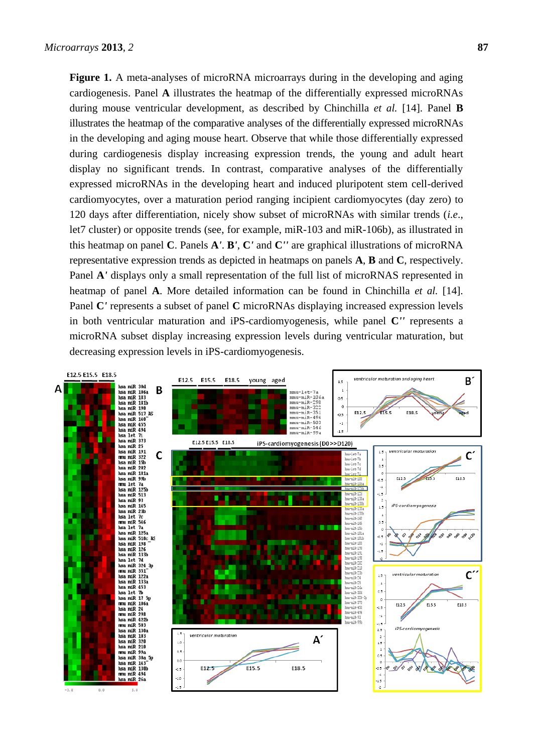**Figure 1.** A meta-analyses of microRNA microarrays during in the developing and aging cardiogenesis. Panel **A** illustrates the heatmap of the differentially expressed microRNAs during mouse ventricular development, as described by Chinchilla *et al.* [14]. Panel **B** illustrates the heatmap of the comparative analyses of the differentially expressed microRNAs in the developing and aging mouse heart. Observe that while those differentially expressed during cardiogenesis display increasing expression trends, the young and adult heart display no significant trends. In contrast, comparative analyses of the differentially expressed microRNAs in the developing heart and induced pluripotent stem cell-derived cardiomyocytes, over a maturation period ranging incipient cardiomyocytes (day zero) to 120 days after differentiation, nicely show subset of microRNAs with similar trends (*i.e*., let7 cluster) or opposite trends (see, for example, miR-103 and miR-106b), as illustrated in this heatmap on panel **C**. Panels **A***'*. **B***'*, **C***'* and **C***''* are graphical illustrations of microRNA representative expression trends as depicted in heatmaps on panels **A**, **B** and **C**, respectively. Panel A<sup> $\prime$ </sup> displays only a small representation of the full list of microRNAS represented in heatmap of panel **A**. More detailed information can be found in Chinchilla *et al.* [14]. Panel **C***'* represents a subset of panel **C** microRNAs displaying increased expression levels in both ventricular maturation and iPS-cardiomyogenesis, while panel **C***''* represents a microRNA subset display increasing expression levels during ventricular maturation, but decreasing expression levels in iPS-cardiomyogenesis.

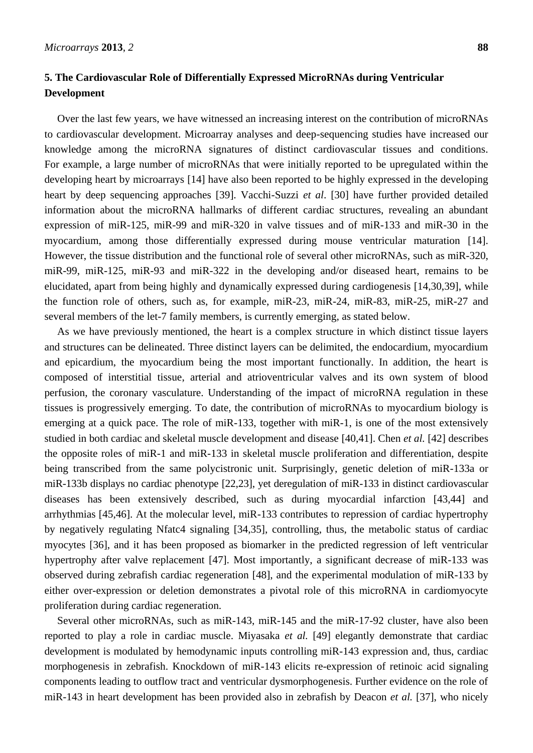## **5. The Cardiovascular Role of Differentially Expressed MicroRNAs during Ventricular Development**

Over the last few years, we have witnessed an increasing interest on the contribution of microRNAs to cardiovascular development. Microarray analyses and deep-sequencing studies have increased our knowledge among the microRNA signatures of distinct cardiovascular tissues and conditions. For example, a large number of microRNAs that were initially reported to be upregulated within the developing heart by microarrays [14] have also been reported to be highly expressed in the developing heart by deep sequencing approaches [39]. Vacchi-Suzzi *et al*. [30] have further provided detailed information about the microRNA hallmarks of different cardiac structures, revealing an abundant expression of miR-125, miR-99 and miR-320 in valve tissues and of miR-133 and miR-30 in the myocardium, among those differentially expressed during mouse ventricular maturation [14]. However, the tissue distribution and the functional role of several other microRNAs, such as miR-320, miR-99, miR-125, miR-93 and miR-322 in the developing and/or diseased heart, remains to be elucidated, apart from being highly and dynamically expressed during cardiogenesis [14,30,39], while the function role of others, such as, for example, miR-23, miR-24, miR-83, miR-25, miR-27 and several members of the let-7 family members, is currently emerging, as stated below.

As we have previously mentioned, the heart is a complex structure in which distinct tissue layers and structures can be delineated. Three distinct layers can be delimited, the endocardium, myocardium and epicardium, the myocardium being the most important functionally. In addition, the heart is composed of interstitial tissue, arterial and atrioventricular valves and its own system of blood perfusion, the coronary vasculature. Understanding of the impact of microRNA regulation in these tissues is progressively emerging. To date, the contribution of microRNAs to myocardium biology is emerging at a quick pace. The role of miR-133, together with miR-1, is one of the most extensively studied in both cardiac and skeletal muscle development and disease [40,41]. Chen *et al.* [42] describes the opposite roles of miR-1 and miR-133 in skeletal muscle proliferation and differentiation, despite being transcribed from the same polycistronic unit. Surprisingly, genetic deletion of miR-133a or miR-133b displays no cardiac phenotype [22,23], yet deregulation of miR-133 in distinct cardiovascular diseases has been extensively described, such as during myocardial infarction [43,44] and arrhythmias [45,46]. At the molecular level, miR-133 contributes to repression of cardiac hypertrophy by negatively regulating Nfatc4 signaling [34,35], controlling, thus, the metabolic status of cardiac myocytes [36], and it has been proposed as biomarker in the predicted regression of left ventricular hypertrophy after valve replacement [47]. Most importantly, a significant decrease of miR-133 was observed during zebrafish cardiac regeneration [48], and the experimental modulation of miR-133 by either over-expression or deletion demonstrates a pivotal role of this microRNA in cardiomyocyte proliferation during cardiac regeneration.

Several other microRNAs, such as miR-143, miR-145 and the miR-17-92 cluster, have also been reported to play a role in cardiac muscle. Miyasaka *et al.* [49] elegantly demonstrate that cardiac development is modulated by hemodynamic inputs controlling miR-143 expression and, thus, cardiac morphogenesis in zebrafish. Knockdown of miR-143 elicits re-expression of retinoic acid signaling components leading to outflow tract and ventricular dysmorphogenesis. Further evidence on the role of miR-143 in heart development has been provided also in zebrafish by Deacon *et al.* [37], who nicely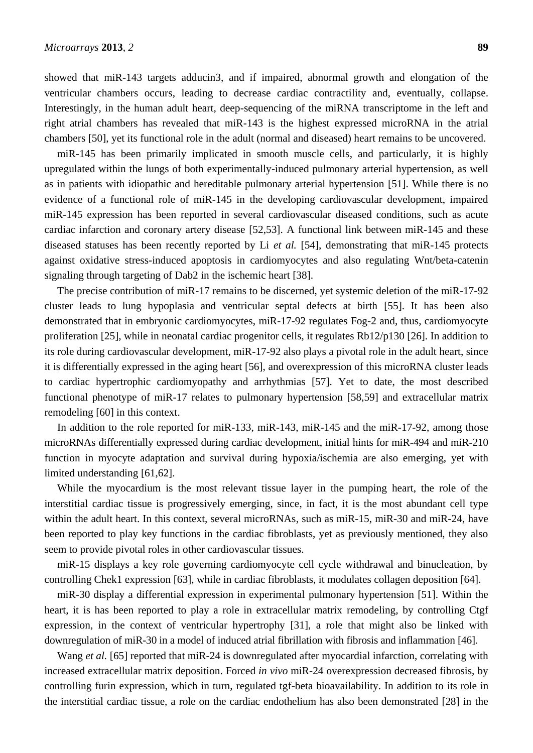showed that miR-143 targets adducin3, and if impaired, abnormal growth and elongation of the ventricular chambers occurs, leading to decrease cardiac contractility and, eventually, collapse. Interestingly, in the human adult heart, deep-sequencing of the miRNA transcriptome in the left and right atrial chambers has revealed that miR-143 is the highest expressed microRNA in the atrial chambers [50], yet its functional role in the adult (normal and diseased) heart remains to be uncovered.

miR-145 has been primarily implicated in smooth muscle cells, and particularly, it is highly upregulated within the lungs of both experimentally-induced pulmonary arterial hypertension, as well as in patients with idiopathic and hereditable pulmonary arterial hypertension [51]. While there is no evidence of a functional role of miR-145 in the developing cardiovascular development, impaired miR-145 expression has been reported in several cardiovascular diseased conditions, such as acute cardiac infarction and coronary artery disease [52,53]. A functional link between miR-145 and these diseased statuses has been recently reported by Li *et al.* [54], demonstrating that miR-145 protects against oxidative stress-induced apoptosis in cardiomyocytes and also regulating Wnt/beta-catenin signaling through targeting of Dab2 in the ischemic heart [38].

The precise contribution of miR-17 remains to be discerned, yet systemic deletion of the miR-17-92 cluster leads to lung hypoplasia and ventricular septal defects at birth [55]. It has been also demonstrated that in embryonic cardiomyocytes, miR-17-92 regulates Fog-2 and, thus, cardiomyocyte proliferation [25], while in neonatal cardiac progenitor cells, it regulates Rb12/p130 [26]. In addition to its role during cardiovascular development, miR-17-92 also plays a pivotal role in the adult heart, since it is differentially expressed in the aging heart [56], and overexpression of this microRNA cluster leads to cardiac hypertrophic cardiomyopathy and arrhythmias [57]. Yet to date, the most described functional phenotype of miR-17 relates to pulmonary hypertension [58,59] and extracellular matrix remodeling [60] in this context.

In addition to the role reported for miR-133, miR-143, miR-145 and the miR-17-92, among those microRNAs differentially expressed during cardiac development, initial hints for miR-494 and miR-210 function in myocyte adaptation and survival during hypoxia/ischemia are also emerging, yet with limited understanding [61,62].

While the myocardium is the most relevant tissue layer in the pumping heart, the role of the interstitial cardiac tissue is progressively emerging, since, in fact, it is the most abundant cell type within the adult heart. In this context, several microRNAs, such as miR-15, miR-30 and miR-24, have been reported to play key functions in the cardiac fibroblasts, yet as previously mentioned, they also seem to provide pivotal roles in other cardiovascular tissues.

miR-15 displays a key role governing cardiomyocyte cell cycle withdrawal and binucleation, by controlling Chek1 expression [63], while in cardiac fibroblasts, it modulates collagen deposition [64].

miR-30 display a differential expression in experimental pulmonary hypertension [51]. Within the heart, it is has been reported to play a role in extracellular matrix remodeling, by controlling Ctgf expression, in the context of ventricular hypertrophy [31], a role that might also be linked with downregulation of miR-30 in a model of induced atrial fibrillation with fibrosis and inflammation [46].

Wang *et al.* [65] reported that miR-24 is downregulated after myocardial infarction, correlating with increased extracellular matrix deposition. Forced *in vivo* miR-24 overexpression decreased fibrosis, by controlling furin expression, which in turn, regulated tgf-beta bioavailability. In addition to its role in the interstitial cardiac tissue, a role on the cardiac endothelium has also been demonstrated [28] in the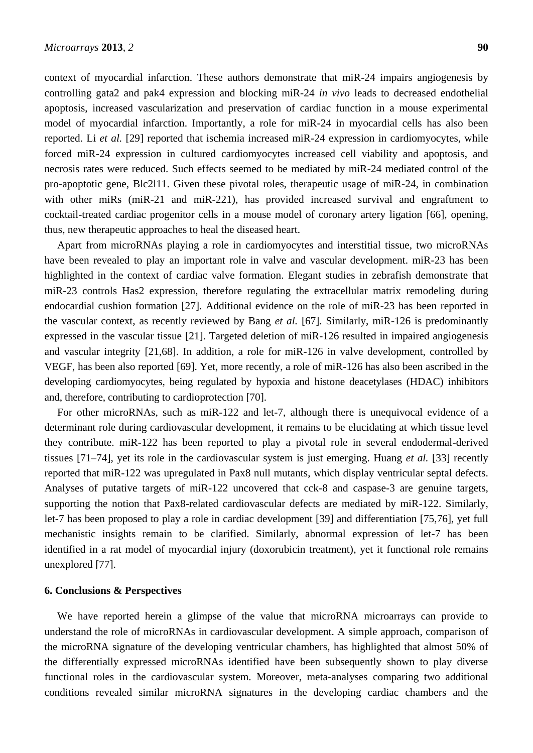context of myocardial infarction. These authors demonstrate that miR-24 impairs angiogenesis by controlling gata2 and pak4 expression and blocking miR-24 *in vivo* leads to decreased endothelial apoptosis, increased vascularization and preservation of cardiac function in a mouse experimental model of myocardial infarction. Importantly, a role for miR-24 in myocardial cells has also been reported. Li *et al.* [29] reported that ischemia increased miR-24 expression in cardiomyocytes, while forced miR-24 expression in cultured cardiomyocytes increased cell viability and apoptosis, and necrosis rates were reduced. Such effects seemed to be mediated by miR-24 mediated control of the pro-apoptotic gene, Blc2l11. Given these pivotal roles, therapeutic usage of miR-24, in combination with other miRs (miR-21 and miR-221), has provided increased survival and engraftment to cocktail-treated cardiac progenitor cells in a mouse model of coronary artery ligation [66], opening, thus, new therapeutic approaches to heal the diseased heart.

Apart from microRNAs playing a role in cardiomyocytes and interstitial tissue, two microRNAs have been revealed to play an important role in valve and vascular development. miR-23 has been highlighted in the context of cardiac valve formation. Elegant studies in zebrafish demonstrate that miR-23 controls Has2 expression, therefore regulating the extracellular matrix remodeling during endocardial cushion formation [27]. Additional evidence on the role of miR-23 has been reported in the vascular context, as recently reviewed by Bang *et al.* [67]. Similarly, miR-126 is predominantly expressed in the vascular tissue [21]. Targeted deletion of miR-126 resulted in impaired angiogenesis and vascular integrity [21,68]. In addition, a role for miR-126 in valve development, controlled by VEGF, has been also reported [69]. Yet, more recently, a role of miR-126 has also been ascribed in the developing cardiomyocytes, being regulated by hypoxia and histone deacetylases (HDAC) inhibitors and, therefore, contributing to cardioprotection [70].

For other microRNAs, such as miR-122 and let-7, although there is unequivocal evidence of a determinant role during cardiovascular development, it remains to be elucidating at which tissue level they contribute. miR-122 has been reported to play a pivotal role in several endodermal-derived tissues [71–74], yet its role in the cardiovascular system is just emerging. Huang *et al.* [33] recently reported that miR-122 was upregulated in Pax8 null mutants, which display ventricular septal defects. Analyses of putative targets of miR-122 uncovered that cck-8 and caspase-3 are genuine targets, supporting the notion that Pax8-related cardiovascular defects are mediated by miR-122. Similarly, let-7 has been proposed to play a role in cardiac development [39] and differentiation [75,76], yet full mechanistic insights remain to be clarified. Similarly, abnormal expression of let-7 has been identified in a rat model of myocardial injury (doxorubicin treatment), yet it functional role remains unexplored [77].

#### **6. Conclusions & Perspectives**

We have reported herein a glimpse of the value that microRNA microarrays can provide to understand the role of microRNAs in cardiovascular development. A simple approach, comparison of the microRNA signature of the developing ventricular chambers, has highlighted that almost 50% of the differentially expressed microRNAs identified have been subsequently shown to play diverse functional roles in the cardiovascular system. Moreover, meta-analyses comparing two additional conditions revealed similar microRNA signatures in the developing cardiac chambers and the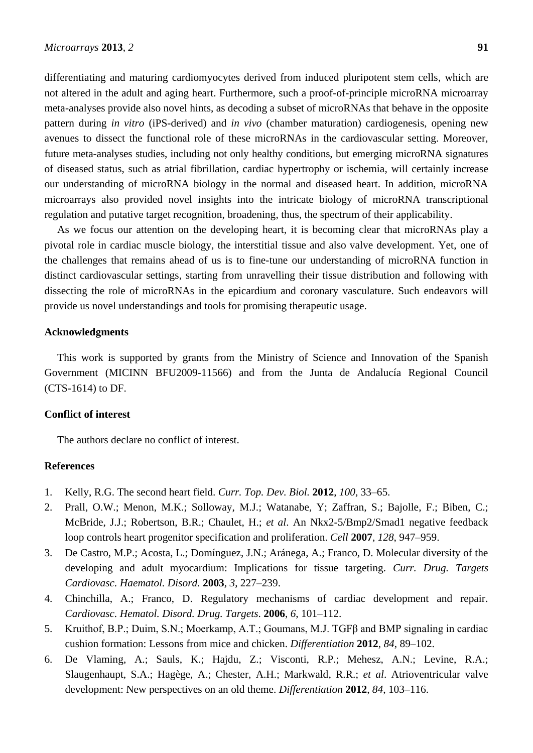differentiating and maturing cardiomyocytes derived from induced pluripotent stem cells, which are not altered in the adult and aging heart. Furthermore, such a proof-of-principle microRNA microarray meta-analyses provide also novel hints, as decoding a subset of microRNAs that behave in the opposite pattern during *in vitro* (iPS-derived) and *in vivo* (chamber maturation) cardiogenesis, opening new avenues to dissect the functional role of these microRNAs in the cardiovascular setting. Moreover, future meta-analyses studies, including not only healthy conditions, but emerging microRNA signatures of diseased status, such as atrial fibrillation, cardiac hypertrophy or ischemia, will certainly increase our understanding of microRNA biology in the normal and diseased heart. In addition, microRNA microarrays also provided novel insights into the intricate biology of microRNA transcriptional regulation and putative target recognition, broadening, thus, the spectrum of their applicability.

As we focus our attention on the developing heart, it is becoming clear that microRNAs play a pivotal role in cardiac muscle biology, the interstitial tissue and also valve development. Yet, one of the challenges that remains ahead of us is to fine-tune our understanding of microRNA function in distinct cardiovascular settings, starting from unravelling their tissue distribution and following with dissecting the role of microRNAs in the epicardium and coronary vasculature. Such endeavors will provide us novel understandings and tools for promising therapeutic usage.

### **Acknowledgments**

This work is supported by grants from the Ministry of Science and Innovation of the Spanish Government (MICINN BFU2009-11566) and from the Junta de Andaluc à Regional Council (CTS-1614) to DF.

### **Conflict of interest**

The authors declare no conflict of interest.

### **References**

- 1. Kelly, R.G. The second heart field. *Curr. Top. Dev. Biol.* **2012**, *100*, 33–65.
- 2. Prall, O.W.; Menon, M.K.; Solloway, M.J.; Watanabe, Y; Zaffran, S.; Bajolle, F.; Biben, C.; McBride, J.J.; Robertson, B.R.; Chaulet, H.; *et al*. An Nkx2-5/Bmp2/Smad1 negative feedback loop controls heart progenitor specification and proliferation. *Cell* **2007**, *128*, 947–959.
- 3. De Castro, M.P.; Acosta, L.; Domínguez, J.N.; Aránega, A.; Franco, D. Molecular diversity of the developing and adult myocardium: Implications for tissue targeting. *Curr. Drug. Targets Cardiovasc. Haematol. Disord.* **2003**, *3*, 227–239.
- 4. Chinchilla, A.; Franco, D. Regulatory mechanisms of cardiac development and repair. *Cardiovasc. Hematol. Disord. Drug. Targets*. **2006**, *6*, 101–112.
- 5. Kruithof, B.P.; Duim, S.N.; Moerkamp, A.T.; Goumans, M.J. TGFβ and BMP signaling in cardiac cushion formation: Lessons from mice and chicken. *Differentiation* **2012**, *84*, 89–102.
- 6. De Vlaming, A.; Sauls, K.; Hajdu, Z.; Visconti, R.P.; Mehesz, A.N.; Levine, R.A.; Slaugenhaupt, S.A.; Hagège, A.; Chester, A.H.; Markwald, R.R.; *et al*. Atrioventricular valve development: New perspectives on an old theme. *Differentiation* **2012**, *84*, 103–116.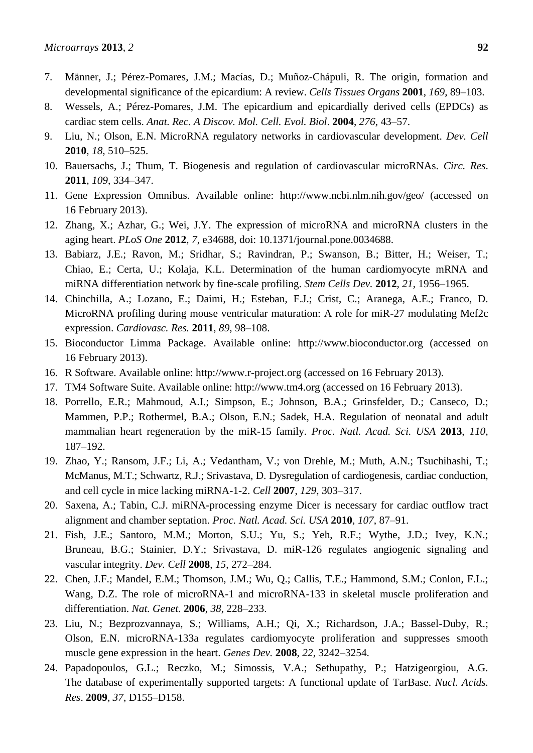- 7. Männer, J.; Pérez-Pomares, J.M.; Macías, D.; Muñoz-Chápuli, R. The origin, formation and developmental significance of the epicardium: A review. *Cells Tissues Organs* **2001**, *169*, 89–103.
- 8. Wessels, A.; Pérez-Pomares, J.M. The epicardium and epicardially derived cells (EPDCs) as cardiac stem cells. *Anat. Rec. A Discov. Mol. Cell. Evol. Biol*. **2004**, *276*, 43–57.
- 9. Liu, N.; Olson, E.N. MicroRNA regulatory networks in cardiovascular development. *Dev. Cell* **2010**, *18*, 510–525.
- 10. Bauersachs, J.; Thum, T. Biogenesis and regulation of cardiovascular microRNAs. *Circ. Res*. **2011**, *109*, 334–347.
- 11. Gene Expression Omnibus. Available online: http://www.ncbi.nlm.nih.gov/geo/ (accessed on 16 February 2013).
- 12. Zhang, X.; Azhar, G.; Wei, J.Y. The expression of microRNA and microRNA clusters in the aging heart. *PLoS One* **2012**, *7*, e34688, doi: 10.1371/journal.pone.0034688.
- 13. Babiarz, J.E.; Ravon, M.; Sridhar, S.; Ravindran, P.; Swanson, B.; Bitter, H.; Weiser, T.; Chiao, E.; Certa, U.; Kolaja, K.L. Determination of the human cardiomyocyte mRNA and miRNA differentiation network by fine-scale profiling. *Stem Cells Dev.* **2012**, *21*, 1956–1965.
- 14. Chinchilla, A.; Lozano, E.; Daimi, H.; Esteban, F.J.; Crist, C.; Aranega, A.E.; Franco, D. MicroRNA profiling during mouse ventricular maturation: A role for miR-27 modulating Mef2c expression. *Cardiovasc. Res.* **2011**, *89*, 98–108.
- 15. Bioconductor Limma Package. Available online: http://www.bioconductor.org (accessed on 16 February 2013).
- 16. R Software. Available online: http://www.r-project.org (accessed on 16 February 2013).
- 17. TM4 Software Suite. Available online: http://www.tm4.org (accessed on 16 February 2013).
- 18. Porrello, E.R.; Mahmoud, A.I.; Simpson, E.; Johnson, B.A.; Grinsfelder, D.; Canseco, D.; Mammen, P.P.; Rothermel, B.A.; Olson, E.N.; Sadek, H.A. Regulation of neonatal and adult mammalian heart regeneration by the miR-15 family. *Proc. Natl. Acad. Sci. USA* **2013**, *110*, 187–192.
- 19. Zhao, Y.; Ransom, J.F.; Li, A.; Vedantham, V.; von Drehle, M.; Muth, A.N.; Tsuchihashi, T.; McManus, M.T.; Schwartz, R.J.; Srivastava, D. Dysregulation of cardiogenesis, cardiac conduction, and cell cycle in mice lacking miRNA-1-2. *Cell* **2007**, *129*, 303–317.
- 20. Saxena, A.; Tabin, C.J. miRNA-processing enzyme Dicer is necessary for cardiac outflow tract alignment and chamber septation. *Proc. Natl. Acad. Sci. USA* **2010**, *107*, 87–91.
- 21. Fish, J.E.; Santoro, M.M.; Morton, S.U.; Yu, S.; Yeh, R.F.; Wythe, J.D.; Ivey, K.N.; Bruneau, B.G.; Stainier, D.Y.; Srivastava, D. miR-126 regulates angiogenic signaling and vascular integrity. *Dev. Cell* **2008**, *15*, 272–284.
- 22. Chen, J.F.; Mandel, E.M.; Thomson, J.M.; Wu, Q.; Callis, T.E.; Hammond, S.M.; Conlon, F.L.; Wang, D.Z. The role of microRNA-1 and microRNA-133 in skeletal muscle proliferation and differentiation. *Nat. Genet.* **2006**, *38*, 228–233.
- 23. Liu, N.; Bezprozvannaya, S.; Williams, A.H.; Qi, X.; Richardson, J.A.; Bassel-Duby, R.; Olson, E.N. microRNA-133a regulates cardiomyocyte proliferation and suppresses smooth muscle gene expression in the heart. *Genes Dev.* **2008**, *22*, 3242–3254.
- 24. Papadopoulos, G.L.; Reczko, M.; Simossis, V.A.; Sethupathy, P.; Hatzigeorgiou, A.G. The database of experimentally supported targets: A functional update of TarBase. *Nucl. Acids. Res*. **2009**, *37*, D155–D158.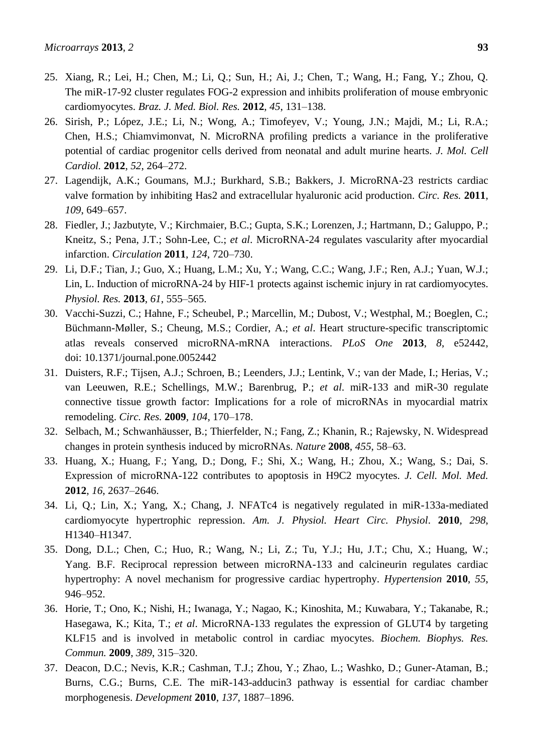- 25. Xiang, R.; Lei, H.; Chen, M.; Li, Q.; Sun, H.; Ai, J.; Chen, T.; Wang, H.; Fang, Y.; Zhou, Q. The miR-17-92 cluster regulates FOG-2 expression and inhibits proliferation of mouse embryonic cardiomyocytes. *Braz. J. Med. Biol. Res.* **2012**, *45*, 131–138.
- 26. Sirish, P.; López, J.E.; Li, N.; Wong, A.; Timofeyev, V.; Young, J.N.; Majdi, M.; Li, R.A.; Chen, H.S.; Chiamvimonvat, N. MicroRNA profiling predicts a variance in the proliferative potential of cardiac progenitor cells derived from neonatal and adult murine hearts. *J. Mol. Cell Cardiol.* **2012**, *52*, 264–272.
- 27. Lagendijk, A.K.; Goumans, M.J.; Burkhard, S.B.; Bakkers, J. MicroRNA-23 restricts cardiac valve formation by inhibiting Has2 and extracellular hyaluronic acid production. *Circ. Res.* **2011**, *109*, 649–657.
- 28. Fiedler, J.; Jazbutyte, V.; Kirchmaier, B.C.; Gupta, S.K.; Lorenzen, J.; Hartmann, D.; Galuppo, P.; Kneitz, S.; Pena, J.T.; Sohn-Lee, C.; *et al*. MicroRNA-24 regulates vascularity after myocardial infarction. *Circulation* **2011**, *124*, 720–730.
- 29. Li, D.F.; Tian, J.; Guo, X.; Huang, L.M.; Xu, Y.; Wang, C.C.; Wang, J.F.; Ren, A.J.; Yuan, W.J.; Lin, L. Induction of microRNA-24 by HIF-1 protects against ischemic injury in rat cardiomyocytes. *Physiol. Res.* **2013**, *61*, 555–565.
- 30. Vacchi-Suzzi, C.; Hahne, F.; Scheubel, P.; Marcellin, M.; Dubost, V.; Westphal, M.; Boeglen, C.; Büchmann-Møller, S.; Cheung, M.S.; Cordier, A.; *et al*. Heart structure-specific transcriptomic atlas reveals conserved microRNA-mRNA interactions. *PLoS One* **2013**, *8*, e52442, doi: 10.1371/journal.pone.0052442
- 31. Duisters, R.F.; Tijsen, A.J.; Schroen, B.; Leenders, J.J.; Lentink, V.; van der Made, I.; Herias, V.; van Leeuwen, R.E.; Schellings, M.W.; Barenbrug, P.; *et al*. miR-133 and miR-30 regulate connective tissue growth factor: Implications for a role of microRNAs in myocardial matrix remodeling. *Circ. Res.* **2009**, *104*, 170–178.
- 32. Selbach, M.; Schwanhäusser, B.; Thierfelder, N.; Fang, Z.; Khanin, R.; Rajewsky, N. Widespread changes in protein synthesis induced by microRNAs. *Nature* **2008**, *455*, 58–63.
- 33. Huang, X.; Huang, F.; Yang, D.; Dong, F.; Shi, X.; Wang, H.; Zhou, X.; Wang, S.; Dai, S. Expression of microRNA-122 contributes to apoptosis in H9C2 myocytes. *J. Cell. Mol. Med.* **2012**, *16*, 2637–2646.
- 34. Li, Q.; Lin, X.; Yang, X.; Chang, J. NFATc4 is negatively regulated in miR-133a-mediated cardiomyocyte hypertrophic repression. *Am. J. Physiol. Heart Circ. Physiol*. **2010**, *298*, H1340–H1347.
- 35. Dong, D.L.; Chen, C.; Huo, R.; Wang, N.; Li, Z.; Tu, Y.J.; Hu, J.T.; Chu, X.; Huang, W.; Yang. B.F. Reciprocal repression between microRNA-133 and calcineurin regulates cardiac hypertrophy: A novel mechanism for progressive cardiac hypertrophy. *Hypertension* **2010**, *55*, 946–952.
- 36. Horie, T.; Ono, K.; Nishi, H.; Iwanaga, Y.; Nagao, K.; Kinoshita, M.; Kuwabara, Y.; Takanabe, R.; Hasegawa, K.; Kita, T.; *et al*. MicroRNA-133 regulates the expression of GLUT4 by targeting KLF15 and is involved in metabolic control in cardiac myocytes. *Biochem. Biophys. Res. Commun.* **2009**, *389*, 315–320.
- 37. Deacon, D.C.; Nevis, K.R.; Cashman, T.J.; Zhou, Y.; Zhao, L.; Washko, D.; Guner-Ataman, B.; Burns, C.G.; Burns, C.E. The miR-143-adducin3 pathway is essential for cardiac chamber morphogenesis. *Development* **2010**, *137*, 1887–1896.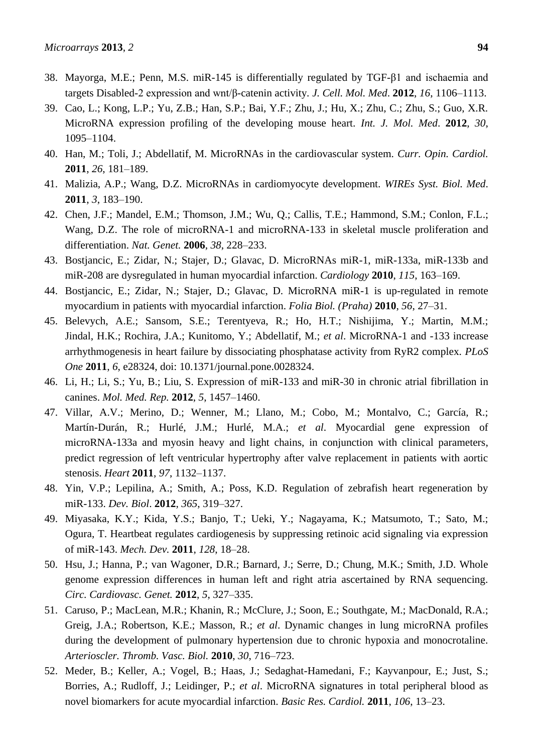- 38. Mayorga, M.E.; Penn, M.S. miR-145 is differentially regulated by TGF-β1 and ischaemia and targets Disabled-2 expression and wnt/β-catenin activity*. J. Cell. Mol. Med*. **2012**, *16*, 1106–1113.
- 39. Cao, L.; Kong, L.P.; Yu, Z.B.; Han, S.P.; Bai, Y.F.; Zhu, J.; Hu, X.; Zhu, C.; Zhu, S.; Guo, X.R. MicroRNA expression profiling of the developing mouse heart. *Int. J. Mol. Med*. **2012**, *30*, 1095–1104.
- 40. Han, M.; Toli, J.; Abdellatif, M. MicroRNAs in the cardiovascular system. *Curr. Opin. Cardiol.* **2011**, *26*, 181–189.
- 41. Malizia, A.P.; Wang, D.Z. MicroRNAs in cardiomyocyte development. *WIREs Syst. Biol. Med*. **2011**, *3*, 183–190.
- 42. Chen, J.F.; Mandel, E.M.; Thomson, J.M.; Wu, Q.; Callis, T.E.; Hammond, S.M.; Conlon, F.L.; Wang, D.Z. The role of microRNA-1 and microRNA-133 in skeletal muscle proliferation and differentiation. *Nat. Genet.* **2006**, *38*, 228–233.
- 43. Bostjancic, E.; Zidar, N.; Stajer, D.; Glavac, D. MicroRNAs miR-1, miR-133a, miR-133b and miR-208 are dysregulated in human myocardial infarction. *Cardiology* **2010**, *115*, 163–169.
- 44. Bostjancic, E.; Zidar, N.; Stajer, D.; Glavac, D. MicroRNA miR-1 is up-regulated in remote myocardium in patients with myocardial infarction. *Folia Biol. (Praha)* **2010**, *56*, 27–31.
- 45. Belevych, A.E.; Sansom, S.E.; Terentyeva, R.; Ho, H.T.; Nishijima, Y.; Martin, M.M.; Jindal, H.K.; Rochira, J.A.; Kunitomo, Y.; Abdellatif, M.; *et al*. MicroRNA-1 and -133 increase arrhythmogenesis in heart failure by dissociating phosphatase activity from RyR2 complex. *PLoS One* **2011**, *6*, e28324, doi: 10.1371/journal.pone.0028324.
- 46. Li, H.; Li, S.; Yu, B.; Liu, S. Expression of miR-133 and miR-30 in chronic atrial fibrillation in canines. *Mol. Med. Rep.* **2012**, *5*, 1457–1460.
- 47. Villar, A.V.; Merino, D.; Wenner, M.; Llano, M.; Cobo, M.; Montalvo, C.; García, R.; Martín-Durán, R.; Hurlé, J.M.; Hurlé, M.A.; *et al*. Myocardial gene expression of microRNA-133a and myosin heavy and light chains, in conjunction with clinical parameters, predict regression of left ventricular hypertrophy after valve replacement in patients with aortic stenosis. *Heart* **2011**, *97*, 1132–1137.
- 48. Yin, V.P.; Lepilina, A.; Smith, A.; Poss, K.D. Regulation of zebrafish heart regeneration by miR-133. *Dev. Biol*. **2012**, *365*, 319–327.
- 49. Miyasaka, K.Y.; Kida, Y.S.; Banjo, T.; Ueki, Y.; Nagayama, K.; Matsumoto, T.; Sato, M.; Ogura, T. Heartbeat regulates cardiogenesis by suppressing retinoic acid signaling via expression of miR-143. *Mech. Dev.* **2011**, *128*, 18–28.
- 50. Hsu, J.; Hanna, P.; van Wagoner, D.R.; Barnard, J.; Serre, D.; Chung, M.K.; Smith, J.D. Whole genome expression differences in human left and right atria ascertained by RNA sequencing. *Circ. Cardiovasc. Genet.* **2012**, *5*, 327–335.
- 51. Caruso, P.; MacLean, M.R.; Khanin, R.; McClure, J.; Soon, E.; Southgate, M.; MacDonald, R.A.; Greig, J.A.; Robertson, K.E.; Masson, R.; *et al*. Dynamic changes in lung microRNA profiles during the development of pulmonary hypertension due to chronic hypoxia and monocrotaline. *Arterioscler. Thromb. Vasc. Biol.* **2010**, *30*, 716–723.
- 52. Meder, B.; Keller, A.; Vogel, B.; Haas, J.; Sedaghat-Hamedani, F.; Kayvanpour, E.; Just, S.; Borries, A.; Rudloff, J.; Leidinger, P.; *et al*. MicroRNA signatures in total peripheral blood as novel biomarkers for acute myocardial infarction. *Basic Res. Cardiol.* **2011**, *106*, 13–23.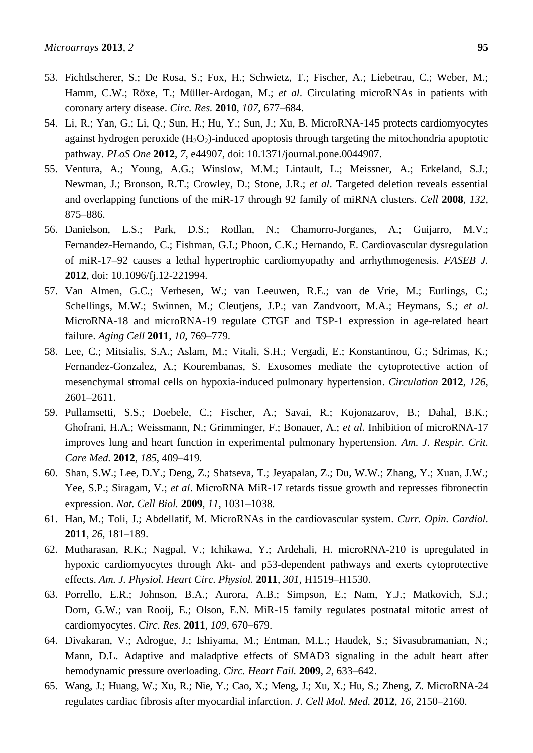- 53. Fichtlscherer, S.; De Rosa, S.; Fox, H.; Schwietz, T.; Fischer, A.; Liebetrau, C.; Weber, M.; Hamm, C.W.; Röxe, T.; Müller-Ardogan, M.; *et al*. Circulating microRNAs in patients with coronary artery disease. *Circ. Res.* **2010**, *107*, 677–684.
- 54. Li, R.; Yan, G.; Li, Q.; Sun, H.; Hu, Y.; Sun, J.; Xu, B. MicroRNA-145 protects cardiomyocytes against hydrogen peroxide  $(H_2O_2)$ -induced apoptosis through targeting the mitochondria apoptotic pathway. *PLoS One* **2012**, *7*, e44907, doi: 10.1371/journal.pone.0044907.
- 55. Ventura, A.; Young, A.G.; Winslow, M.M.; Lintault, L.; Meissner, A.; Erkeland, S.J.; Newman, J.; Bronson, R.T.; Crowley, D.; Stone, J.R.; *et al*. Targeted deletion reveals essential and overlapping functions of the miR-17 through 92 family of miRNA clusters. *Cell* **2008**, *132*, 875–886.
- 56. Danielson, L.S.; Park, D.S.; Rotllan, N.; Chamorro-Jorganes, A.; Guijarro, M.V.; Fernandez-Hernando, C.; Fishman, G.I.; Phoon, C.K.; Hernando, E. Cardiovascular dysregulation of miR-17–92 causes a lethal hypertrophic cardiomyopathy and arrhythmogenesis. *FASEB J.* **2012**, doi: 10.1096/fj.12-221994.
- 57. Van Almen, G.C.; Verhesen, W.; van Leeuwen, R.E.; van de Vrie, M.; Eurlings, C.; Schellings, M.W.; Swinnen, M.; Cleutjens, J.P.; van Zandvoort, M.A.; Heymans, S.; *et al*. MicroRNA-18 and microRNA-19 regulate CTGF and TSP-1 expression in age-related heart failure. *Aging Cell* **2011**, *10*, 769–779.
- 58. Lee, C.; Mitsialis, S.A.; Aslam, M.; Vitali, S.H.; Vergadi, E.; Konstantinou, G.; Sdrimas, K.; Fernandez-Gonzalez, A.; Kourembanas, S. Exosomes mediate the cytoprotective action of mesenchymal stromal cells on hypoxia-induced pulmonary hypertension. *Circulation* **2012**, *126*, 2601–2611.
- 59. Pullamsetti, S.S.; Doebele, C.; Fischer, A.; Savai, R.; Kojonazarov, B.; Dahal, B.K.; Ghofrani, H.A.; Weissmann, N.; Grimminger, F.; Bonauer, A.; *et al*. Inhibition of microRNA-17 improves lung and heart function in experimental pulmonary hypertension. *Am. J. Respir. Crit. Care Med.* **2012**, *185*, 409–419.
- 60. Shan, S.W.; Lee, D.Y.; Deng, Z.; Shatseva, T.; Jeyapalan, Z.; Du, W.W.; Zhang, Y.; Xuan, J.W.; Yee, S.P.; Siragam, V.; *et al*. MicroRNA MiR-17 retards tissue growth and represses fibronectin expression. *Nat. Cell Biol.* **2009**, *11*, 1031–1038.
- 61. Han, M.; Toli, J.; Abdellatif, M. MicroRNAs in the cardiovascular system. *Curr. Opin. Cardiol*. **2011**, *26*, 181–189.
- 62. Mutharasan, R.K.; Nagpal, V.; Ichikawa, Y.; Ardehali, H. microRNA-210 is upregulated in hypoxic cardiomyocytes through Akt- and p53-dependent pathways and exerts cytoprotective effects. *Am. J. Physiol. Heart Circ. Physiol.* **2011**, *301*, H1519–H1530.
- 63. Porrello, E.R.; Johnson, B.A.; Aurora, A.B.; Simpson, E.; Nam, Y.J.; Matkovich, S.J.; Dorn, G.W.; van Rooij, E.; Olson, E.N. MiR-15 family regulates postnatal mitotic arrest of cardiomyocytes. *Circ. Res.* **2011**, *109*, 670–679.
- 64. Divakaran, V.; Adrogue, J.; Ishiyama, M.; Entman, M.L.; Haudek, S.; Sivasubramanian, N.; Mann, D.L. Adaptive and maladptive effects of SMAD3 signaling in the adult heart after hemodynamic pressure overloading. *Circ. Heart Fail.* **2009**, *2*, 633–642.
- 65. Wang, J.; Huang, W.; Xu, R.; Nie, Y.; Cao, X.; Meng, J.; Xu, X.; Hu, S.; Zheng, Z. MicroRNA-24 regulates cardiac fibrosis after myocardial infarction. *J. Cell Mol. Med.* **2012**, *16*, 2150–2160.